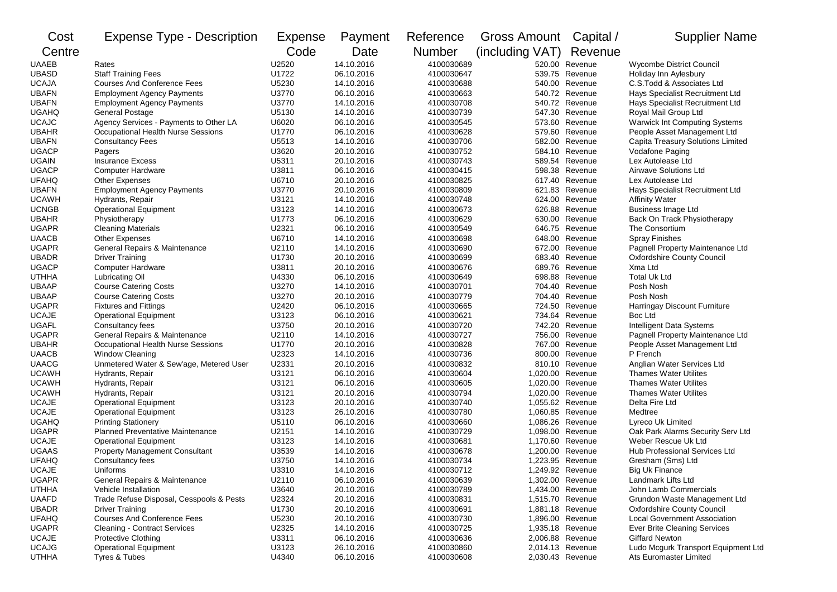| Cost                         | <b>Expense Type - Description</b>        | <b>Expense</b> | Payment    | Reference     | Gross Amount Capital / |                    | <b>Supplier Name</b>                                                  |
|------------------------------|------------------------------------------|----------------|------------|---------------|------------------------|--------------------|-----------------------------------------------------------------------|
| Centre                       |                                          | Code           | Date       | <b>Number</b> | (including VAT)        | Revenue            |                                                                       |
| UAAEB                        | Rates                                    | U2520          | 14.10.2016 | 4100030689    |                        | 520.00 Revenue     | Wycombe District Council                                              |
| <b>UBASD</b>                 | <b>Staff Training Fees</b>               | U1722          | 06.10.2016 | 4100030647    |                        | 539.75 Revenue     | Holiday Inn Aylesbury                                                 |
| <b>UCAJA</b>                 | <b>Courses And Conference Fees</b>       | U5230          | 14.10.2016 | 4100030688    | 540.00                 | Revenue            | C.S.Todd & Associates Ltd                                             |
| <b>UBAFN</b>                 | <b>Employment Agency Payments</b>        | U3770          | 06.10.2016 | 4100030663    | 540.72                 | Revenue            | Hays Specialist Recruitment Ltd                                       |
| <b>UBAFN</b>                 | <b>Employment Agency Payments</b>        | U3770          | 14.10.2016 | 4100030708    |                        | 540.72 Revenue     | Hays Specialist Recruitment Ltd                                       |
| <b>UGAHQ</b>                 | <b>General Postage</b>                   | U5130          | 14.10.2016 | 4100030739    | 547.30                 | Revenue            | Royal Mail Group Ltd                                                  |
| <b>UCAJC</b>                 | Agency Services - Payments to Other LA   | U6020          | 06.10.2016 | 4100030545    | 573.60                 | Revenue            | Warwick Int Computing Systems                                         |
| <b>UBAHR</b>                 | Occupational Health Nurse Sessions       | U1770          | 06.10.2016 | 4100030628    | 579.60                 | Revenue            | People Asset Management Ltd                                           |
| <b>UBAFN</b>                 | <b>Consultancy Fees</b>                  | U5513          | 14.10.2016 | 4100030706    | 582.00                 | Revenue            | Capita Treasury Solutions Limited                                     |
| <b>UGACP</b>                 | Pagers                                   | U3620          | 20.10.2016 | 4100030752    |                        | 584.10 Revenue     | Vodafone Paging                                                       |
| <b>UGAIN</b>                 | <b>Insurance Excess</b>                  | U5311          | 20.10.2016 | 4100030743    |                        | 589.54 Revenue     | Lex Autolease Ltd                                                     |
| <b>UGACP</b>                 | <b>Computer Hardware</b>                 | U3811          | 06.10.2016 | 4100030415    | 598.38                 | Revenue            | <b>Airwave Solutions Ltd</b>                                          |
| <b>UFAHQ</b>                 | <b>Other Expenses</b>                    | U6710          | 20.10.2016 | 4100030825    | 617.40                 | Revenue            | Lex Autolease Ltd                                                     |
| <b>UBAFN</b>                 | <b>Employment Agency Payments</b>        | U3770          | 20.10.2016 | 4100030809    | 621.83                 | Revenue            | Hays Specialist Recruitment Ltd                                       |
| <b>UCAWH</b>                 | Hydrants, Repair                         | U3121          | 14.10.2016 | 4100030748    | 624.00                 | Revenue            | <b>Affinity Water</b>                                                 |
| <b>UCNGB</b>                 | <b>Operational Equipment</b>             | U3123          | 14.10.2016 | 4100030673    |                        | 626.88 Revenue     | <b>Business Image Ltd</b>                                             |
| <b>UBAHR</b>                 | Physiotherapy                            | U1773          | 06.10.2016 | 4100030629    | 630.00                 | Revenue            | Back On Track Physiotherapy                                           |
| <b>UGAPR</b>                 | <b>Cleaning Materials</b>                | U2321          | 06.10.2016 | 4100030549    |                        | 646.75 Revenue     | The Consortium                                                        |
| <b>UAACB</b>                 | <b>Other Expenses</b>                    | U6710          | 14.10.2016 | 4100030698    | 648.00                 | Revenue            | <b>Spray Finishes</b>                                                 |
| <b>UGAPR</b>                 | General Repairs & Maintenance            | U2110          | 14.10.2016 | 4100030690    | 672.00                 | Revenue            |                                                                       |
|                              | <b>Driver Training</b>                   | U1730          | 20.10.2016 | 4100030699    | 683.40                 | Revenue            | Pagnell Property Maintenance Ltd<br><b>Oxfordshire County Council</b> |
| <b>UBADR</b><br><b>UGACP</b> |                                          | U3811          | 20.10.2016 | 4100030676    | 689.76                 | Revenue            | Xma Ltd                                                               |
|                              | <b>Computer Hardware</b>                 |                |            |               |                        |                    |                                                                       |
| <b>UTHHA</b>                 | Lubricating Oil                          | U4330          | 06.10.2016 | 4100030649    | 698.88                 | Revenue            | <b>Total Uk Ltd</b>                                                   |
| <b>UBAAP</b>                 | <b>Course Catering Costs</b>             | U3270          | 14.10.2016 | 4100030701    | 704.40                 | Revenue            | Posh Nosh                                                             |
| <b>UBAAP</b>                 | <b>Course Catering Costs</b>             | U3270          | 20.10.2016 | 4100030779    | 704.40                 | Revenue<br>Revenue | Posh Nosh                                                             |
| <b>UGAPR</b>                 | <b>Fixtures and Fittings</b>             | U2420          | 06.10.2016 | 4100030665    | 724.50                 |                    | Harringay Discount Furniture                                          |
| <b>UCAJE</b>                 | <b>Operational Equipment</b>             | U3123          | 06.10.2016 | 4100030621    | 734.64                 | Revenue            | Boc Ltd                                                               |
| <b>UGAFL</b>                 | Consultancy fees                         | U3750          | 20.10.2016 | 4100030720    | 742.20                 | Revenue            | Intelligent Data Systems                                              |
| <b>UGAPR</b>                 | General Repairs & Maintenance            | U2110          | 14.10.2016 | 4100030727    |                        | 756.00 Revenue     | Pagnell Property Maintenance Ltd                                      |
| <b>UBAHR</b>                 | Occupational Health Nurse Sessions       | U1770          | 20.10.2016 | 4100030828    | 767.00                 | Revenue            | People Asset Management Ltd                                           |
| <b>UAACB</b>                 | <b>Window Cleaning</b>                   | U2323          | 14.10.2016 | 4100030736    | 800.00                 | Revenue            | P French                                                              |
| <b>UAACG</b>                 | Unmetered Water & Sew'age, Metered User  | U2331          | 20.10.2016 | 4100030832    | 810.10                 | Revenue            | Anglian Water Services Ltd                                            |
| <b>UCAWH</b>                 | Hydrants, Repair                         | U3121          | 06.10.2016 | 4100030604    | 1,020.00               | Revenue            | <b>Thames Water Utilites</b>                                          |
| <b>UCAWH</b>                 | Hydrants, Repair                         | U3121          | 06.10.2016 | 4100030605    | 1,020.00               | Revenue            | <b>Thames Water Utilites</b>                                          |
| <b>UCAWH</b>                 | Hydrants, Repair                         | U3121          | 20.10.2016 | 4100030794    | 1,020.00               | Revenue            | <b>Thames Water Utilites</b>                                          |
| <b>UCAJE</b>                 | <b>Operational Equipment</b>             | U3123          | 20.10.2016 | 4100030740    |                        | 1,055.62 Revenue   | Delta Fire Ltd                                                        |
| <b>UCAJE</b>                 | <b>Operational Equipment</b>             | U3123          | 26.10.2016 | 4100030780    |                        | 1,060.85 Revenue   | Medtree                                                               |
| <b>UGAHQ</b>                 | <b>Printing Stationery</b>               | U5110          | 06.10.2016 | 4100030660    | 1,086.26               | Revenue            | Lyreco Uk Limited                                                     |
| <b>UGAPR</b>                 | <b>Planned Preventative Maintenance</b>  | U2151          | 14.10.2016 | 4100030729    | 1,098.00               | Revenue            | Oak Park Alarms Security Serv Ltd                                     |
| <b>UCAJE</b>                 | <b>Operational Equipment</b>             | U3123          | 14.10.2016 | 4100030681    |                        | 1,170.60 Revenue   | Weber Rescue Uk Ltd                                                   |
| <b>UGAAS</b>                 | <b>Property Management Consultant</b>    | U3539          | 14.10.2016 | 4100030678    | 1,200.00               | Revenue            | <b>Hub Professional Services Ltd</b>                                  |
| <b>UFAHQ</b>                 | Consultancy fees                         | U3750          | 14.10.2016 | 4100030734    |                        | 1,223.95 Revenue   | Gresham (Sms) Ltd                                                     |
| <b>UCAJE</b>                 | Uniforms                                 | U3310          | 14.10.2016 | 4100030712    |                        | 1,249.92 Revenue   | <b>Big Uk Finance</b>                                                 |
| <b>UGAPR</b>                 | General Repairs & Maintenance            | U2110          | 06.10.2016 | 4100030639    |                        | 1,302.00 Revenue   | Landmark Lifts Ltd                                                    |
| <b>UTHHA</b>                 | Vehicle Installation                     | U3640          | 20.10.2016 | 4100030789    |                        | 1,434.00 Revenue   | John Lamb Commercials                                                 |
| <b>UAAFD</b>                 | Trade Refuse Disposal, Cesspools & Pests | U2324          | 20.10.2016 | 4100030831    |                        | 1,515.70 Revenue   | Grundon Waste Management Ltd                                          |
| <b>UBADR</b>                 | <b>Driver Training</b>                   | U1730          | 20.10.2016 | 4100030691    |                        | 1,881.18 Revenue   | <b>Oxfordshire County Council</b>                                     |
| <b>UFAHQ</b>                 | <b>Courses And Conference Fees</b>       | U5230          | 20.10.2016 | 4100030730    |                        | 1,896.00 Revenue   | <b>Local Government Association</b>                                   |
| <b>UGAPR</b>                 | <b>Cleaning - Contract Services</b>      | U2325          | 14.10.2016 | 4100030725    |                        | 1,935.18 Revenue   | <b>Ever Brite Cleaning Services</b>                                   |
| <b>UCAJE</b>                 | <b>Protective Clothing</b>               | U3311          | 06.10.2016 | 4100030636    |                        | 2,006.88 Revenue   | <b>Giffard Newton</b>                                                 |
| <b>UCAJG</b>                 | <b>Operational Equipment</b>             | U3123          | 26.10.2016 | 4100030860    |                        | 2,014.13 Revenue   | Ludo Mcgurk Transport Equipment Ltd                                   |
| <b>UTHHA</b>                 | Tyres & Tubes                            | U4340          | 06.10.2016 | 4100030608    |                        | 2,030.43 Revenue   | Ats Euromaster Limited                                                |